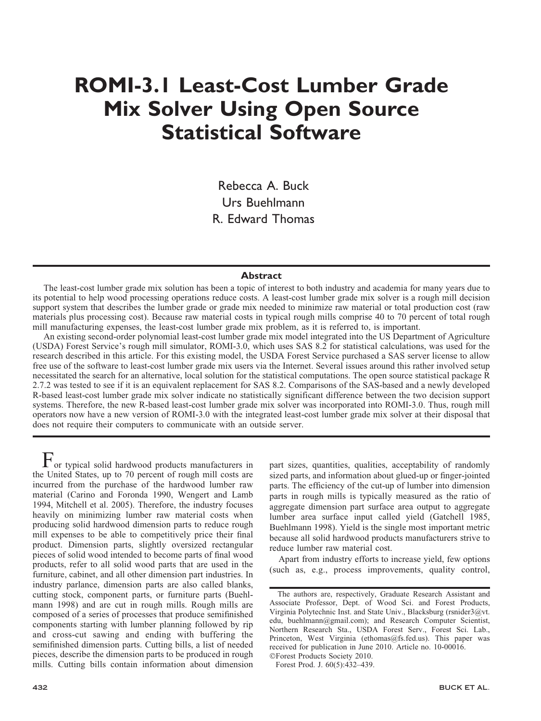# ROMI-3.1 Least-Cost Lumber Grade Mix Solver Using Open Source Statistical Software

Rebecca A. Buck Urs Buehlmann R. Edward Thomas

### **Abstract**

The least-cost lumber grade mix solution has been a topic of interest to both industry and academia for many years due to its potential to help wood processing operations reduce costs. A least-cost lumber grade mix solver is a rough mill decision support system that describes the lumber grade or grade mix needed to minimize raw material or total production cost (raw materials plus processing cost). Because raw material costs in typical rough mills comprise 40 to 70 percent of total rough mill manufacturing expenses, the least-cost lumber grade mix problem, as it is referred to, is important.

An existing second-order polynomial least-cost lumber grade mix model integrated into the US Department of Agriculture (USDA) Forest Service's rough mill simulator, ROMI-3.0, which uses SAS 8.2 for statistical calculations, was used for the research described in this article. For this existing model, the USDA Forest Service purchased a SAS server license to allow free use of the software to least-cost lumber grade mix users via the Internet. Several issues around this rather involved setup necessitated the search for an alternative, local solution for the statistical computations. The open source statistical package R 2.7.2 was tested to see if it is an equivalent replacement for SAS 8.2. Comparisons of the SAS-based and a newly developed R-based least-cost lumber grade mix solver indicate no statistically significant difference between the two decision support systems. Therefore, the new R-based least-cost lumber grade mix solver was incorporated into ROMI-3.0. Thus, rough mill operators now have a new version of ROMI-3.0 with the integrated least-cost lumber grade mix solver at their disposal that does not require their computers to communicate with an outside server.

 $\mathbf F$  or typical solid hardwood products manufacturers in the United States, up to 70 percent of rough mill costs are incurred from the purchase of the hardwood lumber raw material (Carino and Foronda 1990, Wengert and Lamb 1994, Mitchell et al. 2005). Therefore, the industry focuses heavily on minimizing lumber raw material costs when producing solid hardwood dimension parts to reduce rough mill expenses to be able to competitively price their final product. Dimension parts, slightly oversized rectangular pieces of solid wood intended to become parts of final wood products, refer to all solid wood parts that are used in the furniture, cabinet, and all other dimension part industries. In industry parlance, dimension parts are also called blanks, cutting stock, component parts, or furniture parts (Buehlmann 1998) and are cut in rough mills. Rough mills are composed of a series of processes that produce semifinished components starting with lumber planning followed by rip and cross-cut sawing and ending with buffering the semifinished dimension parts. Cutting bills, a list of needed pieces, describe the dimension parts to be produced in rough mills. Cutting bills contain information about dimension

part sizes, quantities, qualities, acceptability of randomly sized parts, and information about glued-up or finger-jointed parts. The efficiency of the cut-up of lumber into dimension parts in rough mills is typically measured as the ratio of aggregate dimension part surface area output to aggregate lumber area surface input called yield (Gatchell 1985, Buehlmann 1998). Yield is the single most important metric because all solid hardwood products manufacturers strive to reduce lumber raw material cost.

Apart from industry efforts to increase yield, few options (such as, e.g., process improvements, quality control,

Forest Prod. J. 60(5):432–439.

The authors are, respectively, Graduate Research Assistant and Associate Professor, Dept. of Wood Sci. and Forest Products, Virginia Polytechnic Inst. and State Univ., Blacksburg (rsnider3@vt. edu, buehlmann@gmail.com); and Research Computer Scientist, Northern Research Sta., USDA Forest Serv., Forest Sci. Lab., Princeton, West Virginia (ethomas@fs.fed.us). This paper was received for publication in June 2010. Article no. 10-00016. -Forest Products Society 2010.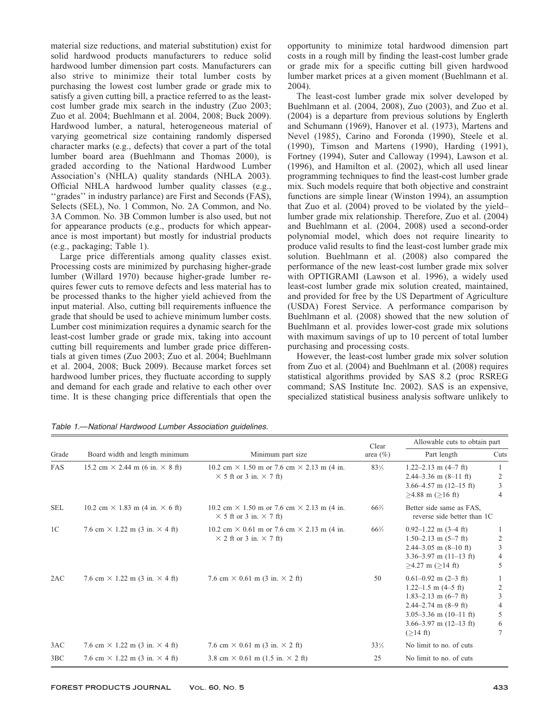material size reductions, and material substitution) exist for solid hardwood products manufacturers to reduce solid hardwood lumber dimension part costs. Manufacturers can also strive to minimize their total lumber costs by purchasing the lowest cost lumber grade or grade mix to satisfy a given cutting bill, a practice referred to as the leastcost lumber grade mix search in the industry (Zuo 2003; Zuo et al. 2004; Buehlmann et al. 2004, 2008; Buck 2009). Hardwood lumber, a natural, heterogeneous material of varying geometrical size containing randomly dispersed character marks (e.g., defects) that cover a part of the total lumber board area (Buehlmann and Thomas 2000), is graded according to the National Hardwood Lumber Association's (NHLA) quality standards (NHLA 2003). Official NHLA hardwood lumber quality classes (e.g., ''grades'' in industry parlance) are First and Seconds (FAS), Selects (SEL), No. 1 Common, No. 2A Common, and No. 3A Common. No. 3B Common lumber is also used, but not for appearance products (e.g., products for which appearance is most important) but mostly for industrial products (e.g., packaging; Table 1).

Large price differentials among quality classes exist. Processing costs are minimized by purchasing higher-grade lumber (Willard 1970) because higher-grade lumber requires fewer cuts to remove defects and less material has to be processed thanks to the higher yield achieved from the input material. Also, cutting bill requirements influence the grade that should be used to achieve minimum lumber costs. Lumber cost minimization requires a dynamic search for the least-cost lumber grade or grade mix, taking into account cutting bill requirements and lumber grade price differentials at given times (Zuo 2003; Zuo et al. 2004; Buehlmann et al. 2004, 2008; Buck 2009). Because market forces set hardwood lumber prices, they fluctuate according to supply and demand for each grade and relative to each other over time. It is these changing price differentials that open the opportunity to minimize total hardwood dimension part costs in a rough mill by finding the least-cost lumber grade or grade mix for a specific cutting bill given hardwood lumber market prices at a given moment (Buehlmann et al. 2004).

The least-cost lumber grade mix solver developed by Buehlmann et al. (2004, 2008), Zuo (2003), and Zuo et al. (2004) is a departure from previous solutions by Englerth and Schumann (1969), Hanover et al. (1973), Martens and Nevel (1985), Carino and Foronda (1990), Steele et al. (1990), Timson and Martens (1990), Harding (1991), Fortney (1994), Suter and Calloway (1994), Lawson et al. (1996), and Hamilton et al. (2002), which all used linear programming techniques to find the least-cost lumber grade mix. Such models require that both objective and constraint functions are simple linear (Winston 1994), an assumption that Zuo et al. (2004) proved to be violated by the yield– lumber grade mix relationship. Therefore, Zuo et al. (2004) and Buehlmann et al. (2004, 2008) used a second-order polynomial model, which does not require linearity to produce valid results to find the least-cost lumber grade mix solution. Buehlmann et al. (2008) also compared the performance of the new least-cost lumber grade mix solver with OPTIGRAMI (Lawson et al. 1996), a widely used least-cost lumber grade mix solution created, maintained, and provided for free by the US Department of Agriculture (USDA) Forest Service. A performance comparison by Buehlmann et al. (2008) showed that the new solution of Buehlmann et al. provides lower-cost grade mix solutions with maximum savings of up to 10 percent of total lumber purchasing and processing costs.

However, the least-cost lumber grade mix solver solution from Zuo et al. (2004) and Buehlmann et al. (2008) requires statistical algorithms provided by SAS 8.2 (proc RSREG command; SAS Institute Inc. 2002). SAS is an expensive, specialized statistical business analysis software unlikely to

|                |                                               |                                                                                                   | Clear           | Allowable cuts to obtain part                                                                                                                                                                                 |                            |  |  |  |
|----------------|-----------------------------------------------|---------------------------------------------------------------------------------------------------|-----------------|---------------------------------------------------------------------------------------------------------------------------------------------------------------------------------------------------------------|----------------------------|--|--|--|
| Grade          | Board width and length minimum                | Minimum part size                                                                                 | area $(\% )$    | Part length                                                                                                                                                                                                   | Cuts                       |  |  |  |
| FAS            | 15.2 cm $\times$ 2.44 m (6 in. $\times$ 8 ft) | 10.2 cm $\times$ 1.50 m or 7.6 cm $\times$ 2.13 m (4 in.<br>$\times$ 5 ft or 3 in. $\times$ 7 ft) | $83\frac{1}{3}$ | 1.22–2.13 m $(4-7$ ft)<br>2.44–3.36 m $(8-11 \text{ ft})$<br>$3.66 - 4.57$ m $(12 - 15$ ft)<br>$>4.88$ m ( $>16$ ft)                                                                                          | 2<br>3<br>4                |  |  |  |
| <b>SEL</b>     | 10.2 cm $\times$ 1.83 m (4 in. $\times$ 6 ft) | 10.2 cm $\times$ 1.50 m or 7.6 cm $\times$ 2.13 m (4 in.<br>$\times$ 5 ft or 3 in. $\times$ 7 ft) | $66\frac{2}{3}$ | Better side same as FAS,<br>reverse side better than 1C                                                                                                                                                       |                            |  |  |  |
| 1 <sup>C</sup> | 7.6 cm $\times$ 1.22 m (3 in. $\times$ 4 ft)  | 10.2 cm $\times$ 0.61 m or 7.6 cm $\times$ 2.13 m (4 in.<br>$\times$ 2 ft or 3 in. $\times$ 7 ft) | $66\frac{2}{3}$ | $0.92 - 1.22$ m $(3 - 4$ ft)<br>$1.50 - 2.13$ m $(5 - 7$ ft)<br>$2.44 - 3.05$ m $(8 - 10$ ft)<br>$3.36 - 3.97$ m $(11 - 13$ ft)<br>$>4.27$ m ( $>14$ ft)                                                      | 2<br>3<br>4<br>5           |  |  |  |
| 2AC            | 7.6 cm $\times$ 1.22 m (3 in, $\times$ 4 ft)  | 7.6 cm $\times$ 0.61 m (3 in. $\times$ 2 ft)                                                      | 50              | $0.61 - 0.92$ m $(2 - 3$ ft)<br>$1.22 - 1.5$ m $(4 - 5$ ft)<br>1.83–2.13 m $(6-7$ ft)<br>2.44–2.74 m $(8-9 \text{ ft})$<br>3.05-3.36 m $(10-11 \text{ ft})$<br>3.66–3.97 m $(12–13 \text{ ft})$<br>$(>14$ ft) | 2<br>3<br>4<br>5<br>6<br>7 |  |  |  |
| 3AC            | 7.6 cm $\times$ 1.22 m (3 in. $\times$ 4 ft)  | 7.6 cm $\times$ 0.61 m (3 in. $\times$ 2 ft)                                                      | $33\frac{1}{3}$ | No limit to no. of cuts                                                                                                                                                                                       |                            |  |  |  |
| 3BC            | 7.6 cm $\times$ 1.22 m (3 in, $\times$ 4 ft)  | 3.8 cm $\times$ 0.61 m (1.5 in. $\times$ 2 ft)                                                    | 25              | No limit to no. of cuts                                                                                                                                                                                       |                            |  |  |  |

Table 1.—National Hardwood Lumber Association guidelines.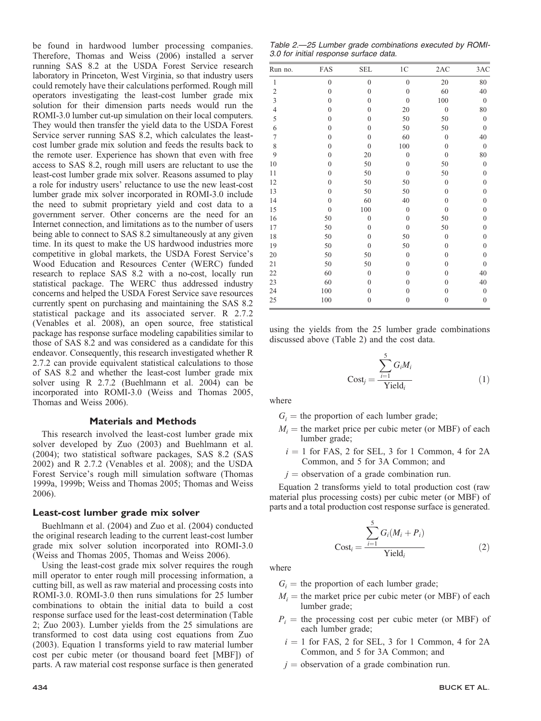be found in hardwood lumber processing companies. Therefore, Thomas and Weiss (2006) installed a server running SAS 8.2 at the USDA Forest Service research laboratory in Princeton, West Virginia, so that industry users could remotely have their calculations performed. Rough mill operators investigating the least-cost lumber grade mix solution for their dimension parts needs would run the ROMI-3.0 lumber cut-up simulation on their local computers. They would then transfer the yield data to the USDA Forest Service server running SAS 8.2, which calculates the leastcost lumber grade mix solution and feeds the results back to the remote user. Experience has shown that even with free access to SAS 8.2, rough mill users are reluctant to use the least-cost lumber grade mix solver. Reasons assumed to play a role for industry users' reluctance to use the new least-cost lumber grade mix solver incorporated in ROMI-3.0 include the need to submit proprietary yield and cost data to a government server. Other concerns are the need for an Internet connection, and limitations as to the number of users being able to connect to SAS 8.2 simultaneously at any given time. In its quest to make the US hardwood industries more competitive in global markets, the USDA Forest Service's Wood Education and Resources Center (WERC) funded research to replace SAS 8.2 with a no-cost, locally run statistical package. The WERC thus addressed industry concerns and helped the USDA Forest Service save resources currently spent on purchasing and maintaining the SAS 8.2 statistical package and its associated server. R 2.7.2 (Venables et al. 2008), an open source, free statistical package has response surface modeling capabilities similar to those of SAS 8.2 and was considered as a candidate for this endeavor. Consequently, this research investigated whether R 2.7.2 can provide equivalent statistical calculations to those of SAS 8.2 and whether the least-cost lumber grade mix solver using R 2.7.2 (Buehlmann et al. 2004) can be incorporated into ROMI-3.0 (Weiss and Thomas 2005, Thomas and Weiss 2006).

## Materials and Methods

This research involved the least-cost lumber grade mix solver developed by Zuo (2003) and Buehlmann et al. (2004); two statistical software packages, SAS 8.2 (SAS 2002) and R 2.7.2 (Venables et al. 2008); and the USDA Forest Service's rough mill simulation software (Thomas 1999a, 1999b; Weiss and Thomas 2005; Thomas and Weiss 2006).

#### Least-cost lumber grade mix solver

Buehlmann et al. (2004) and Zuo et al. (2004) conducted the original research leading to the current least-cost lumber grade mix solver solution incorporated into ROMI-3.0 (Weiss and Thomas 2005, Thomas and Weiss 2006).

Using the least-cost grade mix solver requires the rough mill operator to enter rough mill processing information, a cutting bill, as well as raw material and processing costs into ROMI-3.0. ROMI-3.0 then runs simulations for 25 lumber combinations to obtain the initial data to build a cost response surface used for the least-cost determination (Table 2; Zuo 2003). Lumber yields from the 25 simulations are transformed to cost data using cost equations from Zuo (2003). Equation 1 transforms yield to raw material lumber cost per cubic meter (or thousand board feet [MBF]) of parts. A raw material cost response surface is then generated

Table 2.—25 Lumber grade combinations executed by ROMI-3.0 for initial response surface data.

| Run no.        | FAS              | <b>SEL</b>       | $1\mathrm{C}$    | 2AC              | 3AC              |
|----------------|------------------|------------------|------------------|------------------|------------------|
| $\mathbf{1}$   | $\overline{0}$   | $\overline{0}$   | $\mathbf{0}$     | 20               | 80               |
| $\overline{c}$ | $\overline{0}$   | $\overline{0}$   | $\mathbf{0}$     | 60               | 40               |
| $\overline{3}$ | $\boldsymbol{0}$ | $\overline{0}$   | $\mathbf{0}$     | 100              | $\boldsymbol{0}$ |
| $\overline{4}$ | $\overline{0}$   | $\overline{0}$   | 20               | $\overline{0}$   | 80               |
| 5              | $\overline{0}$   | $\mathbf{0}$     | 50               | 50               | $\overline{0}$   |
| 6              | $\overline{0}$   | $\overline{0}$   | 50               | 50               | $\overline{0}$   |
| $\overline{7}$ | $\overline{0}$   | $\overline{0}$   | 60               | $\boldsymbol{0}$ | 40               |
| 8              | $\boldsymbol{0}$ | $\boldsymbol{0}$ | 100              | $\boldsymbol{0}$ | $\boldsymbol{0}$ |
| 9              | $\mathbf{0}$     | 20               | $\mathbf{0}$     | $\overline{0}$   | 80               |
| 10             | $\overline{0}$   | 50               | $\mathbf{0}$     | 50               | $\boldsymbol{0}$ |
| 11             | $\mathbf{0}$     | 50               | $\mathbf{0}$     | 50               | $\mathbf{0}$     |
| 12             | $\overline{0}$   | 50               | 50               | $\boldsymbol{0}$ | $\mathbf{0}$     |
| 13             | $\overline{0}$   | 50               | 50               | $\mathbf{0}$     | $\mathbf{0}$     |
| 14             | $\boldsymbol{0}$ | 60               | 40               | $\boldsymbol{0}$ | $\mathbf{0}$     |
| 15             | $\boldsymbol{0}$ | 100              | $\boldsymbol{0}$ | $\boldsymbol{0}$ | $\boldsymbol{0}$ |
| 16             | 50               | $\mathbf{0}$     | $\mathbf{0}$     | 50               | $\mathbf{0}$     |
| 17             | 50               | $\mathbf{0}$     | $\mathbf{0}$     | 50               | $\mathbf{0}$     |
| 18             | 50               | $\mathbf{0}$     | 50               | $\overline{0}$   | $\mathbf{0}$     |
| 19             | 50               | $\boldsymbol{0}$ | 50               | $\boldsymbol{0}$ | $\mathbf{0}$     |
| 20             | 50               | 50               | $\mathbf{0}$     | $\mathbf{0}$     | $\mathbf{0}$     |
| 21             | 50               | 50               | $\mathbf{0}$     | $\mathbf{0}$     | $\overline{0}$   |
| 22             | 60               | $\boldsymbol{0}$ | $\mathbf{0}$     | $\boldsymbol{0}$ | 40               |
| 23             | 60               | $\mathbf{0}$     | $\mathbf{0}$     | $\mathbf{0}$     | 40               |
| 24             | 100              | $\boldsymbol{0}$ | $\mathbf{0}$     | $\boldsymbol{0}$ | $\boldsymbol{0}$ |
| 25             | 100              | $\boldsymbol{0}$ | $\mathbf{0}$     | $\boldsymbol{0}$ | $\mathbf{0}$     |

using the yields from the 25 lumber grade combinations discussed above (Table 2) and the cost data.

$$
Cost_j = \frac{\sum_{i=1}^{5} G_i M_i}{Yield_i}
$$
 (1)

where

- $G_i$  = the proportion of each lumber grade;
- $M_i$  = the market price per cubic meter (or MBF) of each lumber grade;
	- $i = 1$  for FAS, 2 for SEL, 3 for 1 Common, 4 for 2A Common, and 5 for 3A Common; and
	- $j =$  observation of a grade combination run.

Equation 2 transforms yield to total production cost (raw material plus processing costs) per cubic meter (or MBF) of parts and a total production cost response surface is generated.

$$
Cost_i = \frac{\sum_{i=1}^{5} G_i (M_i + P_i)}{Yield_i}
$$
 (2)

where

- $G_i$  = the proportion of each lumber grade;
- $M_i$  = the market price per cubic meter (or MBF) of each lumber grade;
- $P_i$  = the processing cost per cubic meter (or MBF) of each lumber grade;
	- $i = 1$  for FAS, 2 for SEL, 3 for 1 Common, 4 for 2A Common, and 5 for 3A Common; and
	- $j =$  observation of a grade combination run.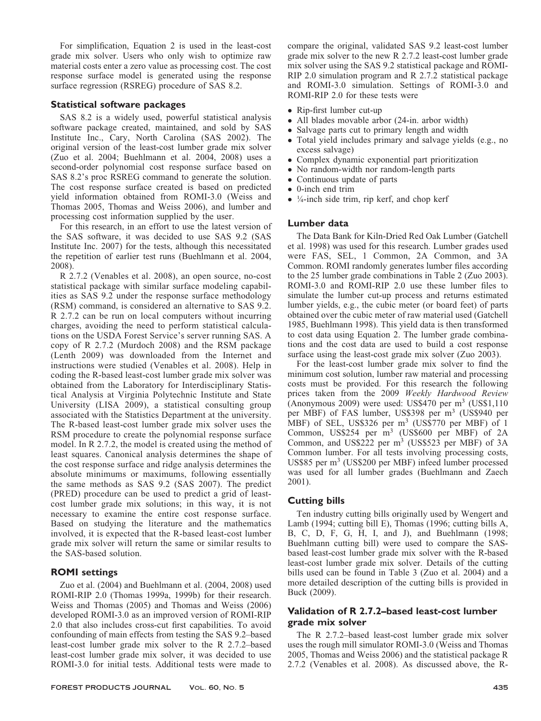For simplification, Equation 2 is used in the least-cost grade mix solver. Users who only wish to optimize raw material costs enter a zero value as processing cost. The cost response surface model is generated using the response surface regression (RSREG) procedure of SAS 8.2.

## Statistical software packages

SAS 8.2 is a widely used, powerful statistical analysis software package created, maintained, and sold by SAS Institute Inc., Cary, North Carolina (SAS 2002). The original version of the least-cost lumber grade mix solver (Zuo et al. 2004; Buehlmann et al. 2004, 2008) uses a second-order polynomial cost response surface based on SAS 8.2's proc RSREG command to generate the solution. The cost response surface created is based on predicted yield information obtained from ROMI-3.0 (Weiss and Thomas 2005, Thomas and Weiss 2006), and lumber and processing cost information supplied by the user.

For this research, in an effort to use the latest version of the SAS software, it was decided to use SAS 9.2 (SAS Institute Inc. 2007) for the tests, although this necessitated the repetition of earlier test runs (Buehlmann et al. 2004, 2008).

R 2.7.2 (Venables et al. 2008), an open source, no-cost statistical package with similar surface modeling capabilities as SAS 9.2 under the response surface methodology (RSM) command, is considered an alternative to SAS 9.2. R 2.7.2 can be run on local computers without incurring charges, avoiding the need to perform statistical calculations on the USDA Forest Service's server running SAS. A copy of R 2.7.2 (Murdoch 2008) and the RSM package (Lenth 2009) was downloaded from the Internet and instructions were studied (Venables et al. 2008). Help in coding the R-based least-cost lumber grade mix solver was obtained from the Laboratory for Interdisciplinary Statistical Analysis at Virginia Polytechnic Institute and State University (LISA 2009), a statistical consulting group associated with the Statistics Department at the university. The R-based least-cost lumber grade mix solver uses the RSM procedure to create the polynomial response surface model. In R 2.7.2, the model is created using the method of least squares. Canonical analysis determines the shape of the cost response surface and ridge analysis determines the absolute minimums or maximums, following essentially the same methods as SAS 9.2 (SAS 2007). The predict (PRED) procedure can be used to predict a grid of leastcost lumber grade mix solutions; in this way, it is not necessary to examine the entire cost response surface. Based on studying the literature and the mathematics involved, it is expected that the R-based least-cost lumber grade mix solver will return the same or similar results to the SAS-based solution.

## ROMI settings

Zuo et al. (2004) and Buehlmann et al. (2004, 2008) used ROMI-RIP 2.0 (Thomas 1999a, 1999b) for their research. Weiss and Thomas (2005) and Thomas and Weiss (2006) developed ROMI-3.0 as an improved version of ROMI-RIP 2.0 that also includes cross-cut first capabilities. To avoid confounding of main effects from testing the SAS 9.2–based least-cost lumber grade mix solver to the R 2.7.2–based least-cost lumber grade mix solver, it was decided to use ROMI-3.0 for initial tests. Additional tests were made to

compare the original, validated SAS 9.2 least-cost lumber grade mix solver to the new R 2.7.2 least-cost lumber grade mix solver using the SAS 9.2 statistical package and ROMI-RIP 2.0 simulation program and R 2.7.2 statistical package and ROMI-3.0 simulation. Settings of ROMI-3.0 and ROMI-RIP 2.0 for these tests were

- Rip-first lumber cut-up
- All blades movable arbor (24-in. arbor width)
- Salvage parts cut to primary length and width
- Total yield includes primary and salvage yields (e.g., no excess salvage)
- Complex dynamic exponential part prioritization
- No random-width nor random-length parts
- Continuous update of parts
- 0-inch end trim
- $\bullet$  ¼-inch side trim, rip kerf, and chop kerf

## Lumber data

The Data Bank for Kiln-Dried Red Oak Lumber (Gatchell et al. 1998) was used for this research. Lumber grades used were FAS, SEL, 1 Common, 2A Common, and 3A Common. ROMI randomly generates lumber files according to the 25 lumber grade combinations in Table 2 (Zuo 2003). ROMI-3.0 and ROMI-RIP 2.0 use these lumber files to simulate the lumber cut-up process and returns estimated lumber yields, e.g., the cubic meter (or board feet) of parts obtained over the cubic meter of raw material used (Gatchell 1985, Buehlmann 1998). This yield data is then transformed to cost data using Equation 2. The lumber grade combinations and the cost data are used to build a cost response surface using the least-cost grade mix solver (Zuo 2003).

For the least-cost lumber grade mix solver to find the minimum cost solution, lumber raw material and processing costs must be provided. For this research the following prices taken from the 2009 Weekly Hardwood Review (Anonymous 2009) were used: US\$470 per  $m<sup>3</sup>$  (US\$1,110) per MBF) of FAS lumber, US\$398 per m<sup>3</sup> (US\$940 per MBF) of SEL, US\$326 per m<sup>3</sup> (US\$770 per MBF) of 1 Common, US\$254 per m<sup>3</sup> (US\$600 per MBF) of 2A Common, and US\$222 per  $m<sup>3</sup>$  (US\$523 per MBF) of 3A Common lumber. For all tests involving processing costs, US\$85 per m3 (US\$200 per MBF) infeed lumber processed was used for all lumber grades (Buehlmann and Zaech 2001).

## Cutting bills

Ten industry cutting bills originally used by Wengert and Lamb (1994; cutting bill E), Thomas (1996; cutting bills A, B, C, D, F, G, H, I, and J), and Buehlmann (1998; Buehlmann cutting bill) were used to compare the SASbased least-cost lumber grade mix solver with the R-based least-cost lumber grade mix solver. Details of the cutting bills used can be found in Table 3 (Zuo et al. 2004) and a more detailed description of the cutting bills is provided in Buck (2009).

## Validation of R 2.7.2–based least-cost lumber grade mix solver

The R 2.7.2–based least-cost lumber grade mix solver uses the rough mill simulator ROMI-3.0 (Weiss and Thomas 2005, Thomas and Weiss 2006) and the statistical package R 2.7.2 (Venables et al. 2008). As discussed above, the R-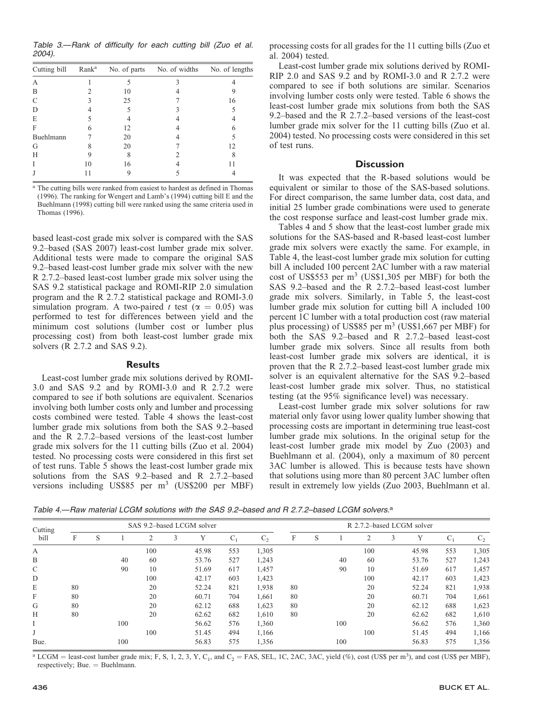Table 3.—Rank of difficulty for each cutting bill (Zuo et al. 2004).

| Cutting bill | Rank <sup>a</sup> | No. of parts | No. of widths | No. of lengths |
|--------------|-------------------|--------------|---------------|----------------|
| А            |                   |              |               |                |
| B            |                   | 10           |               |                |
| C            |                   | 25           |               | 16             |
| D            |                   |              |               |                |
| E            |                   |              |               |                |
| F            |                   | 12           |               |                |
| Buehlmann    |                   | 20           |               |                |
| G            |                   | 20           |               |                |
| Н            |                   | 8            |               |                |
|              | 10                | 16           |               |                |
|              |                   |              |               |                |

<sup>a</sup> The cutting bills were ranked from easiest to hardest as defined in Thomas (1996). The ranking for Wengert and Lamb's (1994) cutting bill E and the Buehlmann (1998) cutting bill were ranked using the same criteria used in Thomas (1996).

based least-cost grade mix solver is compared with the SAS 9.2–based (SAS 2007) least-cost lumber grade mix solver. Additional tests were made to compare the original SAS 9.2–based least-cost lumber grade mix solver with the new R 2.7.2–based least-cost lumber grade mix solver using the SAS 9.2 statistical package and ROMI-RIP 2.0 simulation program and the R 2.7.2 statistical package and ROMI-3.0 simulation program. A two-paired t test ( $\alpha = 0.05$ ) was performed to test for differences between yield and the minimum cost solutions (lumber cost or lumber plus processing cost) from both least-cost lumber grade mix solvers (R 2.7.2 and SAS 9.2).

#### **Results**

Least-cost lumber grade mix solutions derived by ROMI-3.0 and SAS 9.2 and by ROMI-3.0 and R 2.7.2 were compared to see if both solutions are equivalent. Scenarios involving both lumber costs only and lumber and processing costs combined were tested. Table 4 shows the least-cost lumber grade mix solutions from both the SAS 9.2–based and the R 2.7.2–based versions of the least-cost lumber grade mix solvers for the 11 cutting bills (Zuo et al. 2004) tested. No processing costs were considered in this first set of test runs. Table 5 shows the least-cost lumber grade mix solutions from the SAS 9.2–based and R 2.7.2–based versions including US\$85 per m<sup>3</sup> (US\$200 per MBF) processing costs for all grades for the 11 cutting bills (Zuo et al. 2004) tested.

Least-cost lumber grade mix solutions derived by ROMI-RIP 2.0 and SAS 9.2 and by ROMI-3.0 and R 2.7.2 were compared to see if both solutions are similar. Scenarios involving lumber costs only were tested. Table 6 shows the least-cost lumber grade mix solutions from both the SAS 9.2–based and the R 2.7.2–based versions of the least-cost lumber grade mix solver for the 11 cutting bills (Zuo et al. 2004) tested. No processing costs were considered in this set of test runs.

### **Discussion**

It was expected that the R-based solutions would be equivalent or similar to those of the SAS-based solutions. For direct comparison, the same lumber data, cost data, and initial 25 lumber grade combinations were used to generate the cost response surface and least-cost lumber grade mix.

Tables 4 and 5 show that the least-cost lumber grade mix solutions for the SAS-based and R-based least-cost lumber grade mix solvers were exactly the same. For example, in Table 4, the least-cost lumber grade mix solution for cutting bill A included 100 percent 2AC lumber with a raw material cost of US\$553 per m3 (US\$1,305 per MBF) for both the SAS 9.2–based and the R 2.7.2–based least-cost lumber grade mix solvers. Similarly, in Table 5, the least-cost lumber grade mix solution for cutting bill A included 100 percent 1C lumber with a total production cost (raw material plus processing) of US\$85 per  $m<sup>3</sup>$  (US\$1,667 per MBF) for both the SAS 9.2–based and R 2.7.2–based least-cost lumber grade mix solvers. Since all results from both least-cost lumber grade mix solvers are identical, it is proven that the R 2.7.2–based least-cost lumber grade mix solver is an equivalent alternative for the SAS 9.2–based least-cost lumber grade mix solver. Thus, no statistical testing (at the 95% significance level) was necessary.

Least-cost lumber grade mix solver solutions for raw material only favor using lower quality lumber showing that processing costs are important in determining true least-cost lumber grade mix solutions. In the original setup for the least-cost lumber grade mix model by Zuo (2003) and Buehlmann et al. (2004), only a maximum of 80 percent 3AC lumber is allowed. This is because tests have shown that solutions using more than 80 percent 3AC lumber often result in extremely low yields (Zuo 2003, Buehlmann et al.

Table 4.—Raw material LCGM solutions with the SAS 9.2–based and R 2.7.2–based LCGM solvers.<sup>a</sup>

| Cutting                   |    | SAS 9.2-based LCGM solver |     |     |  |       |       |       |    |   | R 2.7.2-based LCGM solver |     |   |       |       |       |  |  |  |
|---------------------------|----|---------------------------|-----|-----|--|-------|-------|-------|----|---|---------------------------|-----|---|-------|-------|-------|--|--|--|
| bill                      | F  | S                         |     | ∍   |  |       | $C_1$ | $C_2$ | F  | S |                           |     | 3 |       | $C_1$ | $C_2$ |  |  |  |
| $\mathbf{A}$              |    |                           |     | 100 |  | 45.98 | 553   | 1,305 |    |   |                           | 100 |   | 45.98 | 553   | 1,305 |  |  |  |
| B                         |    |                           | 40  | 60  |  | 53.76 | 527   | 1,243 |    |   | 40                        | 60  |   | 53.76 | 527   | 1,243 |  |  |  |
| $\mathcal{C}$             |    |                           | 90  | 10  |  | 51.69 | 617   | 1,457 |    |   | 90                        | 10  |   | 51.69 | 617   | 1,457 |  |  |  |
| D                         |    |                           |     | 100 |  | 42.17 | 603   | 1,423 |    |   |                           | 100 |   | 42.17 | 603   | 1,423 |  |  |  |
| E                         | 80 |                           |     | 20  |  | 52.24 | 821   | 1,938 | 80 |   |                           | 20  |   | 52.24 | 821   | 1,938 |  |  |  |
| $\boldsymbol{\mathrm{F}}$ | 80 |                           |     | 20  |  | 60.71 | 704   | 1,661 | 80 |   |                           | 20  |   | 60.71 | 704   | 1,661 |  |  |  |
| G                         | 80 |                           |     | 20  |  | 62.12 | 688   | 1,623 | 80 |   |                           | 20  |   | 62.12 | 688   | 1,623 |  |  |  |
| H                         | 80 |                           |     | 20  |  | 62.62 | 682   | 1.610 | 80 |   |                           | 20  |   | 62.62 | 682   | 1,610 |  |  |  |
|                           |    |                           | 100 |     |  | 56.62 | 576   | 1,360 |    |   | 100                       |     |   | 56.62 | 576   | 1,360 |  |  |  |
|                           |    |                           |     | 100 |  | 51.45 | 494   | 1.166 |    |   |                           | 100 |   | 51.45 | 494   | 1,166 |  |  |  |
| Bue.                      |    |                           | 100 |     |  | 56.83 | 575   | 1,356 |    |   | 100                       |     |   | 56.83 | 575   | 1,356 |  |  |  |

 $^a$  LCGM = least-cost lumber grade mix; F, S, 1, 2, 3, Y, C<sub>1</sub>, and C<sub>2</sub> = FAS, SEL, 1C, 2AC, 3AC, yield (%), cost (US\$ per m<sup>3</sup>), and cost (US\$ per MBF), respectively; Bue. = Buehlmann.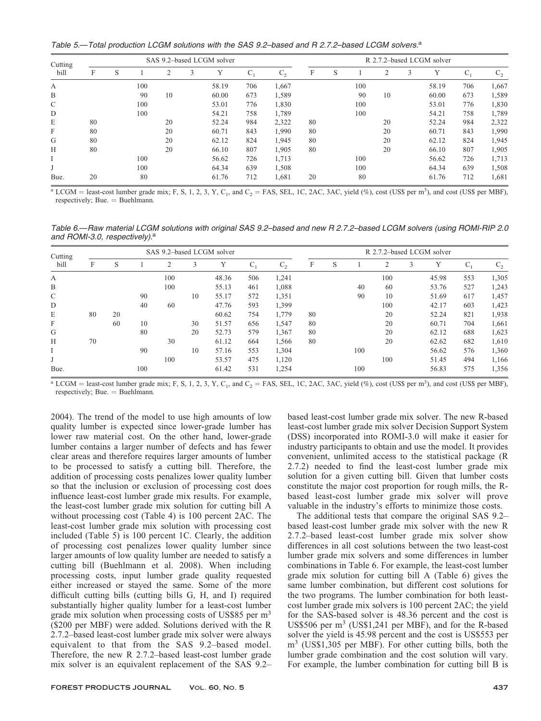Table 5.—Total production LCGM solutions with the SAS 9.2–based and R 2.7.2–based LCGM solvers.<sup>a</sup>

| Cutting |    | SAS 9.2-based LCGM solver |     |    |   |       |       |       |    |   | R 2.7.2–based LCGM solver |    |   |       |       |       |  |  |  |
|---------|----|---------------------------|-----|----|---|-------|-------|-------|----|---|---------------------------|----|---|-------|-------|-------|--|--|--|
| bill    | F  | S                         |     | 2  | 3 | Y     | $C_1$ | $C_2$ | F  | S |                           |    | 3 | Y     | $C_1$ | $C_2$ |  |  |  |
| А       |    |                           | 100 |    |   | 58.19 | 706   | 1.667 |    |   | 100                       |    |   | 58.19 | 706   | 1,667 |  |  |  |
| B       |    |                           | 90  | 10 |   | 60.00 | 673   | 1,589 |    |   | 90                        | 10 |   | 60.00 | 673   | 1,589 |  |  |  |
| C       |    |                           | 100 |    |   | 53.01 | 776   | 1,830 |    |   | 100                       |    |   | 53.01 | 776   | 1,830 |  |  |  |
| D       |    |                           | 100 |    |   | 54.21 | 758   | 1,789 |    |   | 100                       |    |   | 54.21 | 758   | 1,789 |  |  |  |
| E       | 80 |                           |     | 20 |   | 52.24 | 984   | 2,322 | 80 |   |                           | 20 |   | 52.24 | 984   | 2,322 |  |  |  |
| F       | 80 |                           |     | 20 |   | 60.71 | 843   | 1.990 | 80 |   |                           | 20 |   | 60.71 | 843   | 1,990 |  |  |  |
| G       | 80 |                           |     | 20 |   | 62.12 | 824   | 1.945 | 80 |   |                           | 20 |   | 62.12 | 824   | 1,945 |  |  |  |
| Н       | 80 |                           |     | 20 |   | 66.10 | 807   | 1,905 | 80 |   |                           | 20 |   | 66.10 | 807   | 1,905 |  |  |  |
|         |    |                           | 100 |    |   | 56.62 | 726   | 1,713 |    |   | 100                       |    |   | 56.62 | 726   | 1,713 |  |  |  |
|         |    |                           | 100 |    |   | 64.34 | 639   | 1,508 |    |   | 100                       |    |   | 64.34 | 639   | 1,508 |  |  |  |
| Bue.    | 20 |                           | 80  |    |   | 61.76 | 712   | 1,681 | 20 |   | 80                        |    |   | 61.76 | 712   | 1,681 |  |  |  |

 $^a$  LCGM = least-cost lumber grade mix; F, S, 1, 2, 3, Y, C<sub>1</sub>, and C<sub>2</sub> = FAS, SEL, 1C, 2AC, 3AC, yield (%), cost (US\$ per m<sup>3</sup>), and cost (US\$ per MBF), respectively; Bue. = Buehlmann.

Table 6.—Raw material LCGM solutions with original SAS 9.2–based and new R 2.7.2–based LCGM solvers (using ROMI-RIP 2.0 and ROMI-3.0, respectively).<sup>a</sup>

| Cutting<br>bill |    | SAS 9.2-based LCGM solver |     |     |    |       |       |       |    |   | R 2.7.2-based LCGM solver |     |   |       |         |         |  |  |
|-----------------|----|---------------------------|-----|-----|----|-------|-------|-------|----|---|---------------------------|-----|---|-------|---------|---------|--|--|
|                 | F  | S                         |     | 2   | 3  | Υ     | $C_1$ | $C_2$ | F  | S |                           |     | 3 | Y     | $C_{1}$ | $C_{2}$ |  |  |
| A               |    |                           |     | 100 |    | 48.36 | 506   | 1,241 |    |   |                           | 100 |   | 45.98 | 553     | 1,305   |  |  |
| B               |    |                           |     | 100 |    | 55.13 | 461   | 1,088 |    |   | 40                        | 60  |   | 53.76 | 527     | 1,243   |  |  |
| $\mathcal{C}$   |    |                           | 90  |     | 10 | 55.17 | 572   | 1,351 |    |   | 90                        | 10  |   | 51.69 | 617     | 1,457   |  |  |
| D               |    |                           | 40  | 60  |    | 47.76 | 593   | 1,399 |    |   |                           | 100 |   | 42.17 | 603     | 1,423   |  |  |
| E               | 80 | 20                        |     |     |    | 60.62 | 754   | 1,779 | 80 |   |                           | 20  |   | 52.24 | 821     | 1,938   |  |  |
| F               |    | 60                        | 10  |     | 30 | 51.57 | 656   | 1.547 | 80 |   |                           | 20  |   | 60.71 | 704     | 1,661   |  |  |
| G               |    |                           | 80  |     | 20 | 52.73 | 579   | 1,367 | 80 |   |                           | 20  |   | 62.12 | 688     | 1,623   |  |  |
| H               | 70 |                           |     | 30  |    | 61.12 | 664   | 1,566 | 80 |   |                           | 20  |   | 62.62 | 682     | 1,610   |  |  |
|                 |    |                           | 90  |     | 10 | 57.16 | 553   | 1,304 |    |   | 100                       |     |   | 56.62 | 576     | 1,360   |  |  |
|                 |    |                           |     | 100 |    | 53.57 | 475   | 1,120 |    |   |                           | 100 |   | 51.45 | 494     | 1,166   |  |  |
| Bue.            |    |                           | 100 |     |    | 61.42 | 531   | 1,254 |    |   | 100                       |     |   | 56.83 | 575     | 1,356   |  |  |

 $^a$  LCGM = least-cost lumber grade mix; F, S, 1, 2, 3, Y, C<sub>1</sub>, and C<sub>2</sub> = FAS, SEL, 1C, 2AC, 3AC, yield (%), cost (US\$ per m<sup>3</sup>), and cost (US\$ per MBF), respectively; Bue. = Buehlmann.

2004). The trend of the model to use high amounts of low quality lumber is expected since lower-grade lumber has lower raw material cost. On the other hand, lower-grade lumber contains a larger number of defects and has fewer clear areas and therefore requires larger amounts of lumber to be processed to satisfy a cutting bill. Therefore, the addition of processing costs penalizes lower quality lumber so that the inclusion or exclusion of processing cost does influence least-cost lumber grade mix results. For example, the least-cost lumber grade mix solution for cutting bill A without processing cost (Table 4) is 100 percent 2AC. The least-cost lumber grade mix solution with processing cost included (Table 5) is 100 percent 1C. Clearly, the addition of processing cost penalizes lower quality lumber since larger amounts of low quality lumber are needed to satisfy a cutting bill (Buehlmann et al. 2008). When including processing costs, input lumber grade quality requested either increased or stayed the same. Some of the more difficult cutting bills (cutting bills G, H, and I) required substantially higher quality lumber for a least-cost lumber grade mix solution when processing costs of US\$85 per m<sup>3</sup> (\$200 per MBF) were added. Solutions derived with the R 2.7.2–based least-cost lumber grade mix solver were always equivalent to that from the SAS 9.2–based model. Therefore, the new R 2.7.2–based least-cost lumber grade mix solver is an equivalent replacement of the SAS 9.2– based least-cost lumber grade mix solver. The new R-based least-cost lumber grade mix solver Decision Support System (DSS) incorporated into ROMI-3.0 will make it easier for industry participants to obtain and use the model. It provides convenient, unlimited access to the statistical package (R 2.7.2) needed to find the least-cost lumber grade mix solution for a given cutting bill. Given that lumber costs constitute the major cost proportion for rough mills, the Rbased least-cost lumber grade mix solver will prove valuable in the industry's efforts to minimize those costs.

The additional tests that compare the original SAS 9.2– based least-cost lumber grade mix solver with the new R 2.7.2–based least-cost lumber grade mix solver show differences in all cost solutions between the two least-cost lumber grade mix solvers and some differences in lumber combinations in Table 6. For example, the least-cost lumber grade mix solution for cutting bill A (Table 6) gives the same lumber combination, but different cost solutions for the two programs. The lumber combination for both leastcost lumber grade mix solvers is 100 percent 2AC; the yield for the SAS-based solver is 48.36 percent and the cost is US\$506 per m<sup>3</sup> (US\$1,241 per MBF), and for the R-based solver the yield is 45.98 percent and the cost is US\$553 per m3 (US\$1,305 per MBF). For other cutting bills, both the lumber grade combination and the cost solution will vary. For example, the lumber combination for cutting bill B is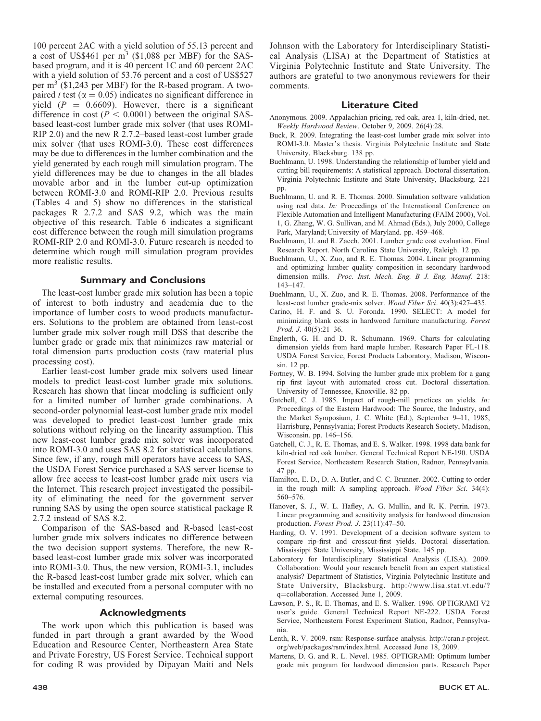100 percent 2AC with a yield solution of 55.13 percent and a cost of US\$461 per m3 (\$1,088 per MBF) for the SASbased program, and it is 40 percent 1C and 60 percent 2AC with a yield solution of 53.76 percent and a cost of US\$527 per m<sup>3</sup> (\$1,243 per MBF) for the R-based program. A twopaired t test ( $\alpha = 0.05$ ) indicates no significant difference in yield  $(P = 0.6609)$ . However, there is a significant difference in cost ( $P < 0.0001$ ) between the original SASbased least-cost lumber grade mix solver (that uses ROMI-RIP 2.0) and the new R 2.7.2–based least-cost lumber grade mix solver (that uses ROMI-3.0). These cost differences may be due to differences in the lumber combination and the yield generated by each rough mill simulation program. The yield differences may be due to changes in the all blades movable arbor and in the lumber cut-up optimization between ROMI-3.0 and ROMI-RIP 2.0. Previous results (Tables 4 and 5) show no differences in the statistical packages R 2.7.2 and SAS 9.2, which was the main objective of this research. Table 6 indicates a significant cost difference between the rough mill simulation programs ROMI-RIP 2.0 and ROMI-3.0. Future research is needed to determine which rough mill simulation program provides more realistic results.

## Summary and Conclusions

The least-cost lumber grade mix solution has been a topic of interest to both industry and academia due to the importance of lumber costs to wood products manufacturers. Solutions to the problem are obtained from least-cost lumber grade mix solver rough mill DSS that describe the lumber grade or grade mix that minimizes raw material or total dimension parts production costs (raw material plus processing cost).

Earlier least-cost lumber grade mix solvers used linear models to predict least-cost lumber grade mix solutions. Research has shown that linear modeling is sufficient only for a limited number of lumber grade combinations. A second-order polynomial least-cost lumber grade mix model was developed to predict least-cost lumber grade mix solutions without relying on the linearity assumption. This new least-cost lumber grade mix solver was incorporated into ROMI-3.0 and uses SAS 8.2 for statistical calculations. Since few, if any, rough mill operators have access to SAS, the USDA Forest Service purchased a SAS server license to allow free access to least-cost lumber grade mix users via the Internet. This research project investigated the possibility of eliminating the need for the government server running SAS by using the open source statistical package R 2.7.2 instead of SAS 8.2.

Comparison of the SAS-based and R-based least-cost lumber grade mix solvers indicates no difference between the two decision support systems. Therefore, the new Rbased least-cost lumber grade mix solver was incorporated into ROMI-3.0. Thus, the new version, ROMI-3.1, includes the R-based least-cost lumber grade mix solver, which can be installed and executed from a personal computer with no external computing resources.

#### Acknowledgments

The work upon which this publication is based was funded in part through a grant awarded by the Wood Education and Resource Center, Northeastern Area State and Private Forestry, US Forest Service. Technical support for coding R was provided by Dipayan Maiti and Nels Johnson with the Laboratory for Interdisciplinary Statistical Analysis (LISA) at the Department of Statistics at Virginia Polytechnic Institute and State University. The authors are grateful to two anonymous reviewers for their comments.

#### Literature Cited

- Anonymous. 2009. Appalachian pricing, red oak, area 1, kiln-dried, net. Weekly Hardwood Review. October 9, 2009. 26(4):28.
- Buck, R. 2009. Integrating the least-cost lumber grade mix solver into ROMI-3.0. Master's thesis. Virginia Polytechnic Institute and State University, Blacksburg. 138 pp.
- Buehlmann, U. 1998. Understanding the relationship of lumber yield and cutting bill requirements: A statistical approach. Doctoral dissertation. Virginia Polytechnic Institute and State University, Blacksburg. 221 pp.
- Buehlmann, U. and R. E. Thomas. 2000. Simulation software validation using real data. In: Proceedings of the International Conference on Flexible Automation and Intelligent Manufacturing (FAIM 2000), Vol. 1, G. Zhang, W. G. Sullivan, and M. Ahmad (Eds.), July 2000, College Park, Maryland; University of Maryland. pp. 459–468.
- Buehlmann, U. and R. Zaech. 2001. Lumber grade cost evaluation. Final Research Report. North Carolina State University, Raleigh. 12 pp.
- Buehlmann, U., X. Zuo, and R. E. Thomas. 2004. Linear programming and optimizing lumber quality composition in secondary hardwood dimension mills. Proc. Inst. Mech. Eng. B J. Eng. Manuf. 218: 143–147.
- Buehlmann, U., X. Zuo, and R. E. Thomas. 2008. Performance of the least-cost lumber grade-mix solver. Wood Fiber Sci. 40(3):427–435.
- Carino, H. F. and S. U. Foronda. 1990. SELECT: A model for minimizing blank costs in hardwood furniture manufacturing. Forest Prod. J. 40(5):21–36.
- Englerth, G. H. and D. R. Schumann. 1969. Charts for calculating dimension yields from hard maple lumber. Research Paper FL-118. USDA Forest Service, Forest Products Laboratory, Madison, Wisconsin. 12 pp.
- Fortney, W. B. 1994. Solving the lumber grade mix problem for a gang rip first layout with automated cross cut. Doctoral dissertation. University of Tennessee, Knoxville. 82 pp.
- Gatchell, C. J. 1985. Impact of rough-mill practices on yields. In: Proceedings of the Eastern Hardwood: The Source, the Industry, and the Market Symposium, J. C. White (Ed.), September 9–11, 1985, Harrisburg, Pennsylvania; Forest Products Research Society, Madison, Wisconsin. pp. 146–156.
- Gatchell, C. J., R. E. Thomas, and E. S. Walker. 1998. 1998 data bank for kiln-dried red oak lumber. General Technical Report NE-190. USDA Forest Service, Northeastern Research Station, Radnor, Pennsylvania. 47 pp.
- Hamilton, E. D., D. A. Butler, and C. C. Brunner. 2002. Cutting to order in the rough mill: A sampling approach. Wood Fiber Sci. 34(4): 560–576.
- Hanover, S. J., W. L. Hafley, A. G. Mullin, and R. K. Perrin. 1973. Linear programming and sensitivity analysis for hardwood dimension production. Forest Prod. J. 23(11):47–50.
- Harding, O. V. 1991. Development of a decision software system to compare rip-first and crosscut-first yields. Doctoral dissertation. Mississippi State University, Mississippi State. 145 pp.
- Laboratory for Interdisciplinary Statistical Analysis (LISA). 2009. Collaboration: Would your research benefit from an expert statistical analysis? Department of Statistics, Virginia Polytechnic Institute and State University, Blacksburg. http://www.lisa.stat.vt.edu/? q=collaboration. Accessed June 1, 2009.
- Lawson, P. S., R. E. Thomas, and E. S. Walker. 1996. OPTIGRAMI V2 user's guide. General Technical Report NE-222. USDA Forest Service, Northeastern Forest Experiment Station, Radnor, Pennsylvania.
- Lenth, R. V. 2009. rsm: Response-surface analysis. http://cran.r-project. org/web/packages/rsm/index.html. Accessed June 18, 2009.
- Martens, D. G. and R. L. Nevel. 1985. OPTIGRAMI: Optimum lumber grade mix program for hardwood dimension parts. Research Paper